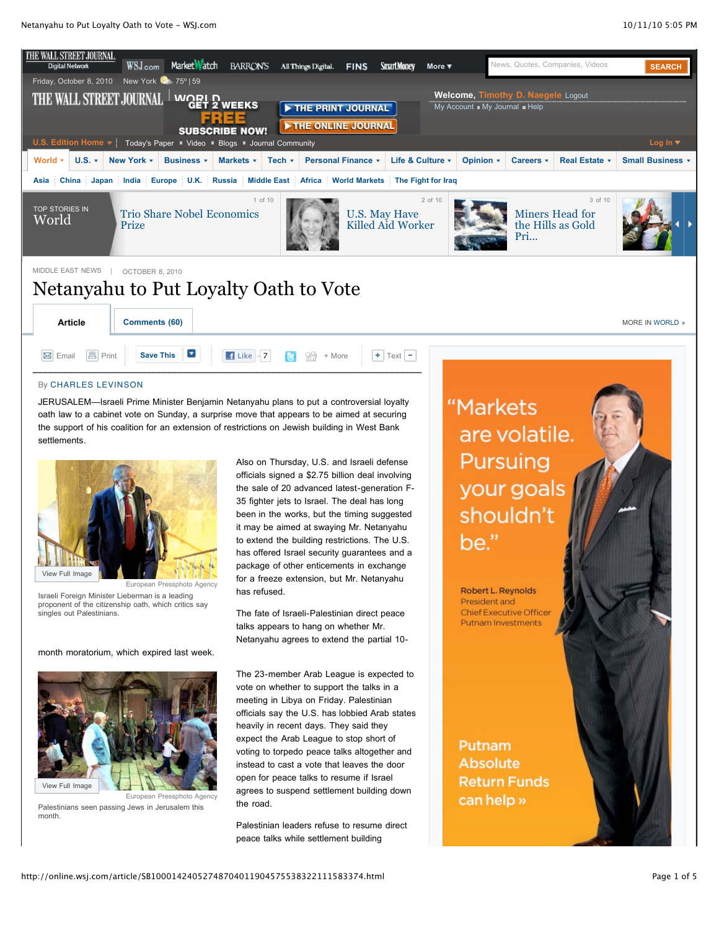

### By [CHARLES LEVINSON](http://online.wsj.com/search/term.html?KEYWORDS=CHARLES+LEVINSON&bylinesearch=true)

JERUSALEM—Israeli Prime Minister Benjamin Netanyahu plans to put a controversial loyalty oath law to a cabinet vote on Sunday, a surprise move that appears to be aimed at securing the support of his coalition for an extension of restrictions on Jewish building in West Bank **settlements** 



Israeli Foreign Minister Lieberman is a leading proponent of the citizenship oath, which critics say singles out Palestinians.

month moratorium, which expired last week.



Palestinians seen passing Jews in Jerusalem this month.

Also on Thursday, U.S. and Israeli defense officials signed a \$2.75 billion deal involving the sale of 20 advanced latest-generation F-35 fighter jets to Israel. The deal has long been in the works, but the timing suggested it may be aimed at swaying Mr. Netanyahu to extend the building restrictions. The U.S. has offered Israel security guarantees and a package of other enticements in exchange for a freeze extension, but Mr. Netanyahu has refused.

The fate of Israeli-Palestinian direct peace talks appears to hang on whether Mr. Netanyahu agrees to extend the partial 10-

The 23-member Arab League is expected to vote on whether to support the talks in a meeting in Libya on Friday. Palestinian officials say the U.S. has lobbied Arab states heavily in recent days. They said they expect the Arab League to stop short of voting to torpedo peace talks altogether and instead to cast a vote that leaves the door open for peace talks to resume if Israel agrees to suspend settlement building down the road.

Palestinian leaders refuse to resume direct peace talks while settlement building

"Markets are volatile. Pursuing your goals shouldn't be."

Robert L. Reynolds President and Chief Executive Officer **Putnam Investments** 

Putnam **Absolute Return Funds** can help »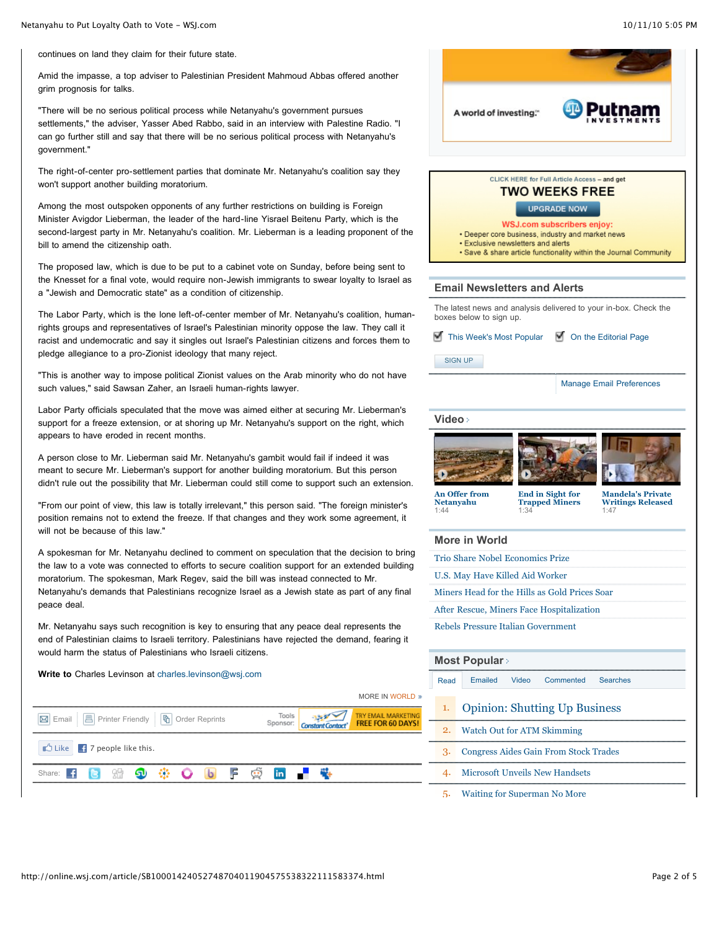continues on land they claim for their future state.

Amid the impasse, a top adviser to Palestinian President Mahmoud Abbas offered another grim prognosis for talks.

"There will be no serious political process while Netanyahu's government pursues settlements," the adviser, Yasser Abed Rabbo, said in an interview with Palestine Radio. "I can go further still and say that there will be no serious political process with Netanyahu's government."

The right-of-center pro-settlement parties that dominate Mr. Netanyahu's coalition say they won't support another building moratorium.

Among the most outspoken opponents of any further restrictions on building is Foreign Minister Avigdor Lieberman, the leader of the hard-line Yisrael Beitenu Party, which is the second-largest party in Mr. Netanyahu's coalition. Mr. Lieberman is a leading proponent of the bill to amend the citizenship oath.

The proposed law, which is due to be put to a cabinet vote on Sunday, before being sent to the Knesset for a final vote, would require non-Jewish immigrants to swear loyalty to Israel as a "Jewish and Democratic state" as a condition of citizenship.

The Labor Party, which is the lone left-of-center member of Mr. Netanyahu's coalition, humanrights groups and representatives of Israel's Palestinian minority oppose the law. They call it racist and undemocratic and say it singles out Israel's Palestinian citizens and forces them to pledge allegiance to a pro-Zionist ideology that many reject.

"This is another way to impose political Zionist values on the Arab minority who do not have such values," said Sawsan Zaher, an Israeli human-rights lawyer.

Labor Party officials speculated that the move was aimed either at securing Mr. Lieberman's support for a freeze extension, or at shoring up Mr. Netanyahu's support on the right, which appears to have eroded in recent months.

A person close to Mr. Lieberman said Mr. Netanyahu's gambit would fail if indeed it was meant to secure Mr. Lieberman's support for another building moratorium. But this person didn't rule out the possibility that Mr. Lieberman could still come to support such an extension.

"From our point of view, this law is totally irrelevant," this person said. "The foreign minister's position remains not to extend the freeze. If that changes and they work some agreement, it will not be because of this law."

A spokesman for Mr. Netanyahu declined to comment on speculation that the decision to bring the law to a vote was connected to efforts to secure coalition support for an extended building moratorium. The spokesman, Mark Regev, said the bill was instead connected to Mr. Netanyahu's demands that Palestinians recognize Israel as a Jewish state as part of any final peace deal.

Mr. Netanyahu says such recognition is key to ensuring that any peace deal represents the end of Palestinian claims to Israeli territory. Palestinians have rejected the demand, fearing it would harm the status of Palestinians who Israeli citizens.

**Write to** Charles Levinson at [charles.levinson@wsj.com](mailto:charles.levinson@wsj.com)



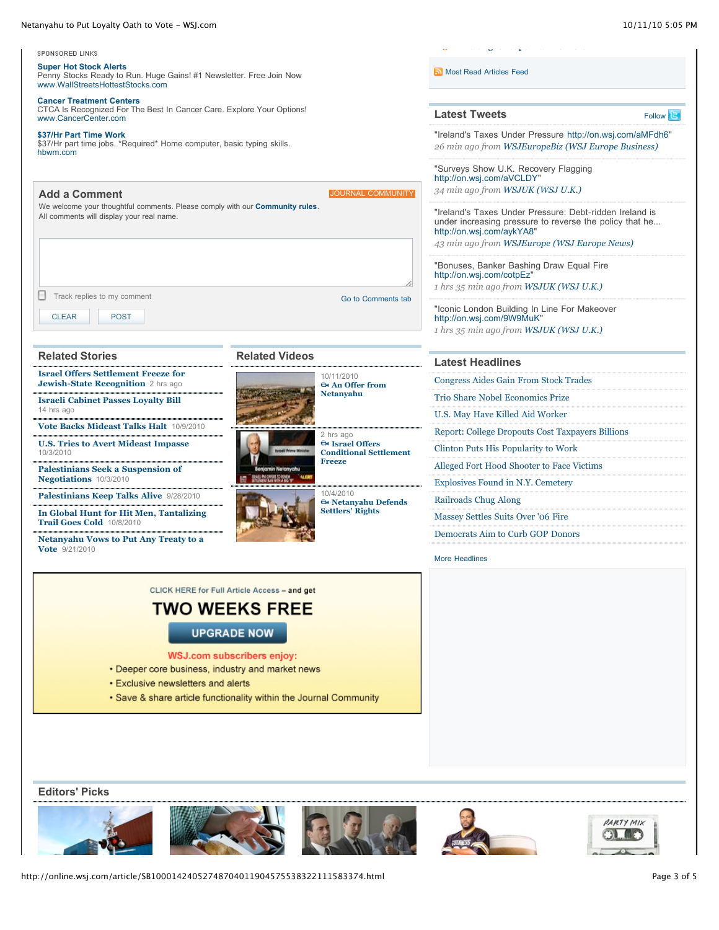#### Netanyahu to Put Loyalty Oath to Vote - WSJ.com 10/11/10 5:05 PM



- **Exclusive newsletters and alerts**
- . Save & share article functionality within the Journal Community

**Editors' Picks**